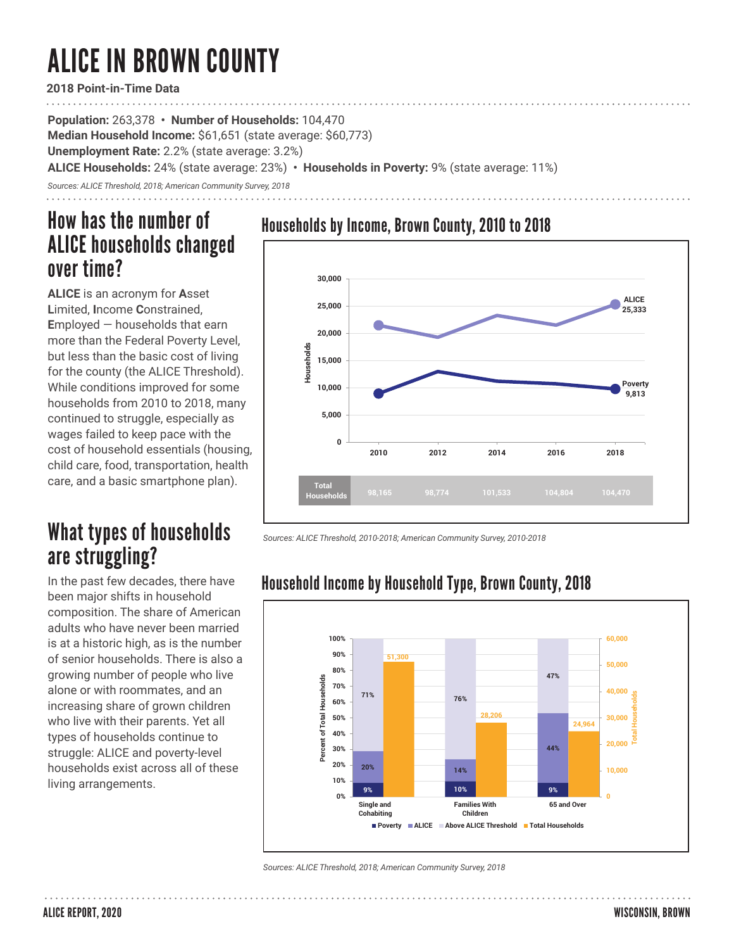# ALICE IN BROWN COUNTY

**2018 Point-in-Time Data**

**Population:** 263,378 **• Number of Households:** 104,470 **Median Household Income:** \$61,651 (state average: \$60,773) **Unemployment Rate:** 2.2% (state average: 3.2%) **ALICE Households:** 24% (state average: 23%) **• Households in Poverty:** 9% (state average: 11%)

*Sources: ALICE Threshold, 2018; American Community Survey, 2018*

## How has the number of ALICE households changed over time?

**ALICE** is an acronym for **A**sset **L**imited, **I**ncome **C**onstrained, **E**mployed — households that earn more than the Federal Poverty Level, but less than the basic cost of living for the county (the ALICE Threshold). While conditions improved for some households from 2010 to 2018, many continued to struggle, especially as wages failed to keep pace with the cost of household essentials (housing, child care, food, transportation, health care, and a basic smartphone plan).

# What types of households are struggling?

In the past few decades, there have been major shifts in household composition. The share of American adults who have never been married is at a historic high, as is the number of senior households. There is also a growing number of people who live alone or with roommates, and an increasing share of grown children who live with their parents. Yet all types of households continue to struggle: ALICE and poverty-level households exist across all of these living arrangements.





*Sources: ALICE Threshold, 2010-2018; American Community Survey, 2010-2018* 

### Household Income by Household Type, Brown County, 2018



*Sources: ALICE Threshold, 2018; American Community Survey, 2018*